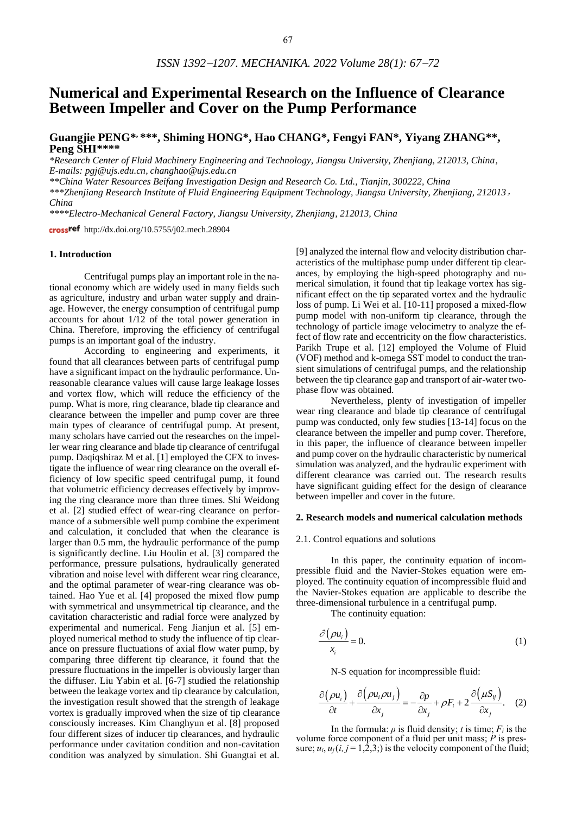# **Numerical and Experimental Research on the Influence of Clearance Between Impeller and Cover on the Pump Performance**

**Guangjie PENG\* , \*\*\*, Shiming HONG\*, Hao CHANG\*, Fengyi FAN\*, Yiyang ZHANG\*\*, Peng SHI\*\*\*\***

*\*Research Center of Fluid Machinery Engineering and Technology, Jiangsu University, Zhenjiang, 212013, China, E-mails: pgj@ujs.edu.cn, changhao@ujs.edu.cn*

*\*\*China Water Resources Beifang Investigation Design and Research Co. Ltd., Tianjin, 300222, China*

*\*\*\*Zhenjiang Research Institute of Fluid Engineering Equipment Technology, Jiangsu University, Zhenjiang, 212013*, *China*

*\*\*\*\*Electro-Mechanical General Factory, Jiangsu University, Zhenjiang, 212013, China*

crossref http://dx.doi.org/10.5755/j02.mech.28904

#### **1. Introduction**

Centrifugal pumps play an important role in the national economy which are widely used in many fields such as agriculture, industry and urban water supply and drainage. However, the energy consumption of centrifugal pump accounts for about 1/12 of the total power generation in China. Therefore, improving the efficiency of centrifugal pumps is an important goal of the industry.

According to engineering and experiments, it found that all clearances between parts of centrifugal pump have a significant impact on the hydraulic performance. Unreasonable clearance values will cause large leakage losses and vortex flow, which will reduce the efficiency of the pump. What is more, ring clearance, blade tip clearance and clearance between the impeller and pump cover are three main types of clearance of centrifugal pump. At present, many scholars have carried out the researches on the impeller wear ring clearance and blade tip clearance of centrifugal pump. Daqiqshiraz M et al. [1] employed the CFX to investigate the influence of wear ring clearance on the overall efficiency of low specific speed centrifugal pump, it found that volumetric efficiency decreases effectively by improving the ring clearance more than three times. Shi Weidong et al. [2] studied effect of wear-ring clearance on performance of a submersible well pump combine the experiment and calculation, it concluded that when the clearance is larger than 0.5 mm, the hydraulic performance of the pump is significantly decline. Liu Houlin et al. [3] compared the performance, pressure pulsations, hydraulically generated vibration and noise level with different wear ring clearance, and the optimal parameter of wear-ring clearance was obtained. Hao Yue et al. [4] proposed the mixed flow pump with symmetrical and unsymmetrical tip clearance, and the cavitation characteristic and radial force were analyzed by experimental and numerical. Feng Jianjun et al. [5] employed numerical method to study the influence of tip clearance on pressure fluctuations of axial flow water pump, by comparing three different tip clearance, it found that the pressure fluctuations in the impeller is obviously larger than the diffuser. Liu Yabin et al. [6-7] studied the relationship between the leakage vortex and tip clearance by calculation, the investigation result showed that the strength of leakage vortex is gradually improved when the size of tip clearance consciously increases. Kim Changhyun et al. [8] proposed four different sizes of inducer tip clearances, and hydraulic performance under cavitation condition and non-cavitation condition was analyzed by simulation. Shi Guangtai et al.

[9] analyzed the internal flow and velocity distribution characteristics of the multiphase pump under different tip clearances, by employing the high-speed photography and numerical simulation, it found that tip leakage vortex has significant effect on the tip separated vortex and the hydraulic loss of pump. Li Wei et al. [10-11] proposed a mixed-flow pump model with non-uniform tip clearance, through the technology of particle image velocimetry to analyze the effect of flow rate and eccentricity on the flow characteristics. Parikh Trupe et al. [12] employed the Volume of Fluid (VOF) method and k-omega SST model to conduct the transient simulations of centrifugal pumps, and the relationship between the tip clearance gap and transport of air-water twophase flow was obtained.

Nevertheless, plenty of investigation of impeller wear ring clearance and blade tip clearance of centrifugal pump was conducted, only few studies [13-14] focus on the clearance between the impeller and pump cover. Therefore, in this paper, the influence of clearance between impeller and pump cover on the hydraulic characteristic by numerical simulation was analyzed, and the hydraulic experiment with different clearance was carried out. The research results have significant guiding effect for the design of clearance between impeller and cover in the future.

#### **2. Research models and numerical calculation methods**

#### 2.1. Control equations and solutions

In this paper, the continuity equation of incompressible fluid and the Navier-Stokes equation were employed. The continuity equation of incompressible fluid and the Navier-Stokes equation are applicable to describe the three-dimensional turbulence in a centrifugal pump.

The continuity equation:

$$
\frac{\partial (\rho u_i)}{x_i} = 0.
$$
 (1)

N-S equation for incompressible fluid:

$$
\frac{\partial(\rho u_i)}{\partial t} + \frac{\partial(\rho u_i \rho u_j)}{\partial x_j} = -\frac{\partial p}{\partial x_j} + \rho F_i + 2 \frac{\partial(\mu S_{ij})}{\partial x_j}.
$$
 (2)

In the formula:  $\rho$  is fluid density; *t* is time;  $F_i$  is the volume force component of a fluid per unit mass; *P* is pressure;  $u_i$ ,  $u_j$ ( $i$ ,  $j = 1,2,3$ ;) is the velocity component of the fluid;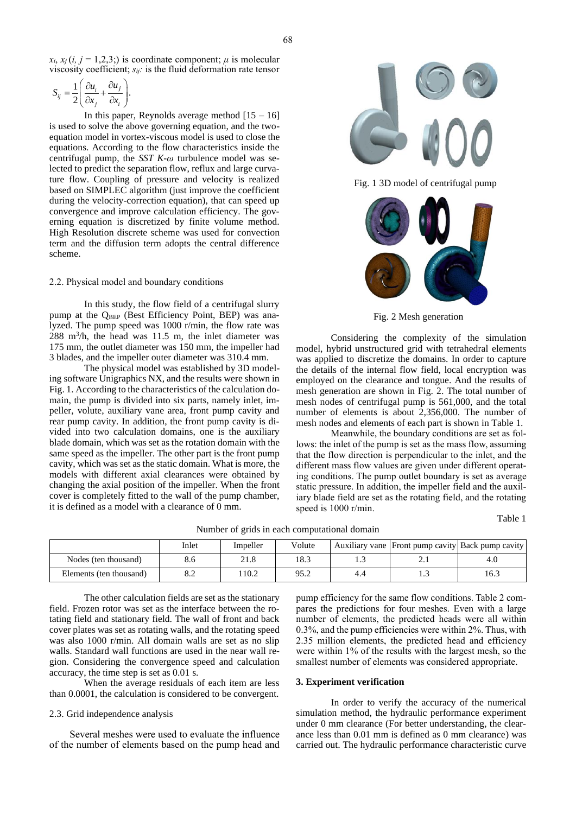$x_i$ ,  $x_i$  (*i*,  $i = 1,2,3$ ;) is coordinate component; *μ* is molecular viscosity coefficient; *sij:* is the fluid deformation rate tensor

$$
S_{ij} = \frac{1}{2} \left( \frac{\partial u_i}{\partial x_j} + \frac{\partial u_j}{\partial x_i} \right).
$$

In this paper, Reynolds average method  $[15 - 16]$ is used to solve the above governing equation, and the twoequation model in vortex-viscous model is used to close the equations. According to the flow characteristics inside the centrifugal pump, the *SST K*-*ω* turbulence model was selected to predict the separation flow, reflux and large curvature flow. Coupling of pressure and velocity is realized based on SIMPLEC algorithm (just improve the coefficient during the velocity-correction equation), that can speed up convergence and improve calculation efficiency. The governing equation is discretized by finite volume method. High Resolution discrete scheme was used for convection term and the diffusion term adopts the central difference scheme.

#### 2.2. Physical model and boundary conditions

In this study, the flow field of a centrifugal slurry pump at the Q<sub>BEP</sub> (Best Efficiency Point, BEP) was analyzed. The pump speed was 1000 r/min, the flow rate was  $288 \text{ m}^3/\text{h}$ , the head was 11.5 m, the inlet diameter was 175 mm, the outlet diameter was 150 mm, the impeller had 3 blades, and the impeller outer diameter was 310.4 mm.

The physical model was established by 3D modeling software Unigraphics NX, and the results were shown in Fig. 1. According to the characteristics of the calculation domain, the pump is divided into six parts, namely inlet, impeller, volute, auxiliary vane area, front pump cavity and rear pump cavity. In addition, the front pump cavity is divided into two calculation domains, one is the auxiliary blade domain, which was set as the rotation domain with the same speed as the impeller. The other part is the front pump cavity, which was set as the static domain. What is more, the models with different axial clearances were obtained by changing the axial position of the impeller. When the front cover is completely fitted to the wall of the pump chamber, it is defined as a model with a clearance of 0 mm.



Fig. 1 3D model of centrifugal pump



Fig. 2 Mesh generation

Considering the complexity of the simulation model, hybrid unstructured grid with tetrahedral elements was applied to discretize the domains. In order to capture the details of the internal flow field, local encryption was employed on the clearance and tongue. And the results of mesh generation are shown in Fig. 2. The total number of mesh nodes of centrifugal pump is 561,000, and the total number of elements is about 2,356,000. The number of mesh nodes and elements of each part is shown in Table 1.

Meanwhile, the boundary conditions are set as follows: the inlet of the pump is set as the mass flow, assuming that the flow direction is perpendicular to the inlet, and the different mass flow values are given under different operating conditions. The pump outlet boundary is set as average static pressure. In addition, the impeller field and the auxiliary blade field are set as the rotating field, and the rotating speed is 1000 r/min.

Table 1

|                         | Inlet                    | Impeller | Volute       |     | Auxiliary vane Front pump cavity Back pump cavity |      |
|-------------------------|--------------------------|----------|--------------|-----|---------------------------------------------------|------|
| Nodes (ten thousand)    | 8.6                      | 21.8     | 18.3         | ر…  | ۰.                                                |      |
| Elements (ten thousand) | $\Omega$ $\Omega$<br>o.∠ | 10.2     | 95 J<br>ے. ر | 4.4 | ن .                                               | 16.3 |

Number of grids in each computational domain

The other calculation fields are set as the stationary field. Frozen rotor was set as the interface between the rotating field and stationary field. The wall of front and back cover plates was set as rotating walls, and the rotating speed was also 1000 r/min. All domain walls are set as no slip walls. Standard wall functions are used in the near wall region. Considering the convergence speed and calculation accuracy, the time step is set as 0.01 s.

When the average residuals of each item are less than 0.0001, the calculation is considered to be convergent.

# 2.3. Grid independence analysis

Several meshes were used to evaluate the influence of the number of elements based on the pump head and pump efficiency for the same flow conditions. Table 2 compares the predictions for four meshes. Even with a large number of elements, the predicted heads were all within 0.3%, and the pump efficiencies were within 2%. Thus, with 2.35 million elements, the predicted head and efficiency were within 1% of the results with the largest mesh, so the smallest number of elements was considered appropriate.

# **3. Experiment verification**

In order to verify the accuracy of the numerical simulation method, the hydraulic performance experiment under 0 mm clearance (For better understanding, the clearance less than 0.01 mm is defined as 0 mm clearance) was carried out. The hydraulic performance characteristic curve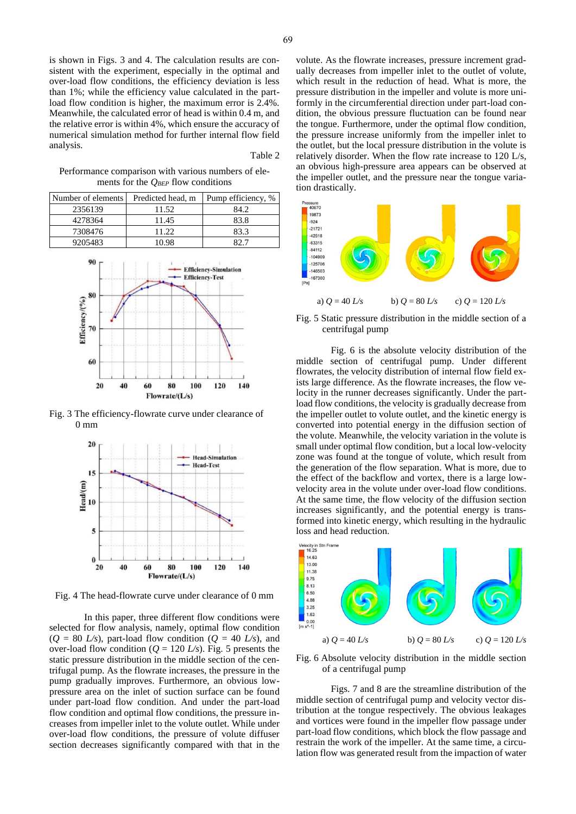is shown in Figs. 3 and 4. The calculation results are consistent with the experiment, especially in the optimal and over-load flow conditions, the efficiency deviation is less than 1%; while the efficiency value calculated in the partload flow condition is higher, the maximum error is 2.4%. Meanwhile, the calculated error of head is within 0.4 m, and the relative error is within 4%, which ensure the accuracy of numerical simulation method for further internal flow field analysis.

Table 2

Performance comparison with various numbers of elements for the *QBEP* flow conditions

| Number of elements | Predicted head, m | Pump efficiency, % |  |
|--------------------|-------------------|--------------------|--|
| 2356139            | 11.52             | 84.2               |  |
| 4278364            | 11.45             | 83.8               |  |
| 7308476            | 11 22             | 83.3               |  |
| 9205483            | 10 98             |                    |  |



Fig. 3 The efficiency-flowrate curve under clearance of 0 mm



Fig. 4 The head-flowrate curve under clearance of 0 mm

In this paper, three different flow conditions were selected for flow analysis, namely, optimal flow condition  $(Q = 80 L/s)$ , part-load flow condition  $(Q = 40 L/s)$ , and over-load flow condition ( $Q = 120$  *L/s*). Fig. 5 presents the static pressure distribution in the middle section of the centrifugal pump. As the flowrate increases, the pressure in the pump gradually improves. Furthermore, an obvious lowpressure area on the inlet of suction surface can be found under part-load flow condition. And under the part-load flow condition and optimal flow conditions, the pressure increases from impeller inlet to the volute outlet. While under over-load flow conditions, the pressure of volute diffuser section decreases significantly compared with that in the

volute. As the flowrate increases, pressure increment gradually decreases from impeller inlet to the outlet of volute, which result in the reduction of head. What is more, the pressure distribution in the impeller and volute is more uniformly in the circumferential direction under part-load condition, the obvious pressure fluctuation can be found near the tongue. Furthermore, under the optimal flow condition, the pressure increase uniformly from the impeller inlet to the outlet, but the local pressure distribution in the volute is relatively disorder. When the flow rate increase to 120 L/s, an obvious high-pressure area appears can be observed at the impeller outlet, and the pressure near the tongue variation drastically.



Fig. 5 Static pressure distribution in the middle section of a centrifugal pump

Fig. 6 is the absolute velocity distribution of the middle section of centrifugal pump. Under different flowrates, the velocity distribution of internal flow field exists large difference. As the flowrate increases, the flow velocity in the runner decreases significantly. Under the partload flow conditions, the velocity is gradually decrease from the impeller outlet to volute outlet, and the kinetic energy is converted into potential energy in the diffusion section of the volute. Meanwhile, the velocity variation in the volute is small under optimal flow condition, but a local low-velocity zone was found at the tongue of volute, which result from the generation of the flow separation. What is more, due to the effect of the backflow and vortex, there is a large lowvelocity area in the volute under over-load flow conditions. At the same time, the flow velocity of the diffusion section increases significantly, and the potential energy is transformed into kinetic energy, which resulting in the hydraulic loss and head reduction.



Fig. 6 Absolute velocity distribution in the middle section of a centrifugal pump

Figs. 7 and 8 are the streamline distribution of the middle section of centrifugal pump and velocity vector distribution at the tongue respectively. The obvious leakages and vortices were found in the impeller flow passage under part-load flow conditions, which block the flow passage and restrain the work of the impeller. At the same time, a circulation flow was generated result from the impaction of water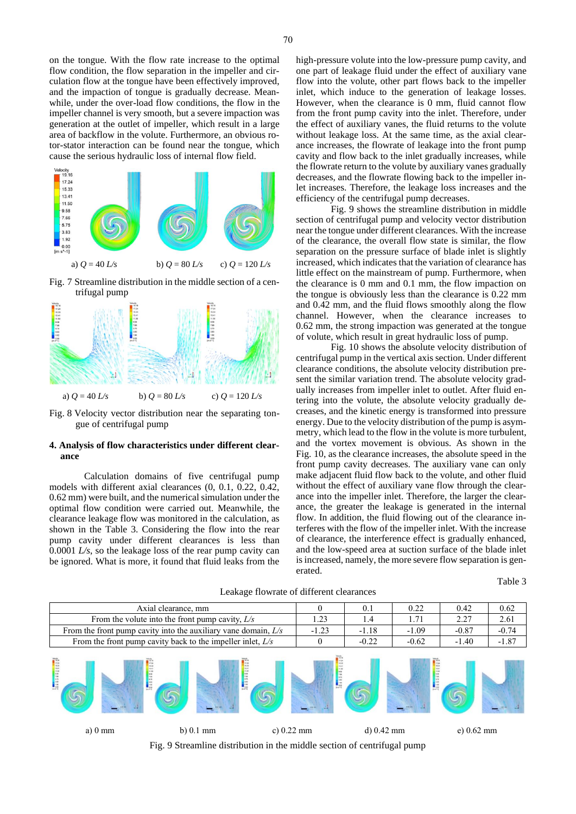on the tongue. With the flow rate increase to the optimal flow condition, the flow separation in the impeller and circulation flow at the tongue have been effectively improved, and the impaction of tongue is gradually decrease. Meanwhile, under the over-load flow conditions, the flow in the impeller channel is very smooth, but a severe impaction was generation at the outlet of impeller, which result in a large area of backflow in the volute. Furthermore, an obvious rotor-stator interaction can be found near the tongue, which cause the serious hydraulic loss of internal flow field.



Fig. 7 Streamline distribution in the middle section of a centrifugal pump



Fig. 8 Velocity vector distribution near the separating tongue of centrifugal pump

## **4. Analysis of flow characteristics under different clearance**

Calculation domains of five centrifugal pump models with different axial clearances (0, 0.1, 0.22, 0.42, 0.62 mm) were built, and the numerical simulation under the optimal flow condition were carried out. Meanwhile, the clearance leakage flow was monitored in the calculation, as shown in the Table 3. Considering the flow into the rear pump cavity under different clearances is less than 0.0001 *L/s*, so the leakage loss of the rear pump cavity can be ignored. What is more, it found that fluid leaks from the

high-pressure volute into the low-pressure pump cavity, and one part of leakage fluid under the effect of auxiliary vane flow into the volute, other part flows back to the impeller inlet, which induce to the generation of leakage losses. However, when the clearance is 0 mm, fluid cannot flow from the front pump cavity into the inlet. Therefore, under the effect of auxiliary vanes, the fluid returns to the volute without leakage loss. At the same time, as the axial clearance increases, the flowrate of leakage into the front pump cavity and flow back to the inlet gradually increases, while the flowrate return to the volute by auxiliary vanes gradually decreases, and the flowrate flowing back to the impeller inlet increases. Therefore, the leakage loss increases and the efficiency of the centrifugal pump decreases.

Fig. 9 shows the streamline distribution in middle section of centrifugal pump and velocity vector distribution near the tongue under different clearances. With the increase of the clearance, the overall flow state is similar, the flow separation on the pressure surface of blade inlet is slightly increased, which indicates that the variation of clearance has little effect on the mainstream of pump. Furthermore, when the clearance is 0 mm and 0.1 mm, the flow impaction on the tongue is obviously less than the clearance is 0.22 mm and 0.42 mm, and the fluid flows smoothly along the flow channel. However, when the clearance increases to 0.62 mm, the strong impaction was generated at the tongue of volute, which result in great hydraulic loss of pump.

Fig. 10 shows the absolute velocity distribution of centrifugal pump in the vertical axis section. Under different clearance conditions, the absolute velocity distribution present the similar variation trend. The absolute velocity gradually increases from impeller inlet to outlet. After fluid entering into the volute, the absolute velocity gradually decreases, and the kinetic energy is transformed into pressure energy. Due to the velocity distribution of the pump is asymmetry, which lead to the flow in the volute is more turbulent, and the vortex movement is obvious. As shown in the Fig. 10, as the clearance increases, the absolute speed in the front pump cavity decreases. The auxiliary vane can only make adjacent fluid flow back to the volute, and other fluid without the effect of auxiliary vane flow through the clearance into the impeller inlet. Therefore, the larger the clearance, the greater the leakage is generated in the internal flow. In addition, the fluid flowing out of the clearance interferes with the flow of the impeller inlet. With the increase of clearance, the interference effect is gradually enhanced, and the low-speed area at suction surface of the blade inlet is increased, namely, the more severe flow separation is generated.

Table 3

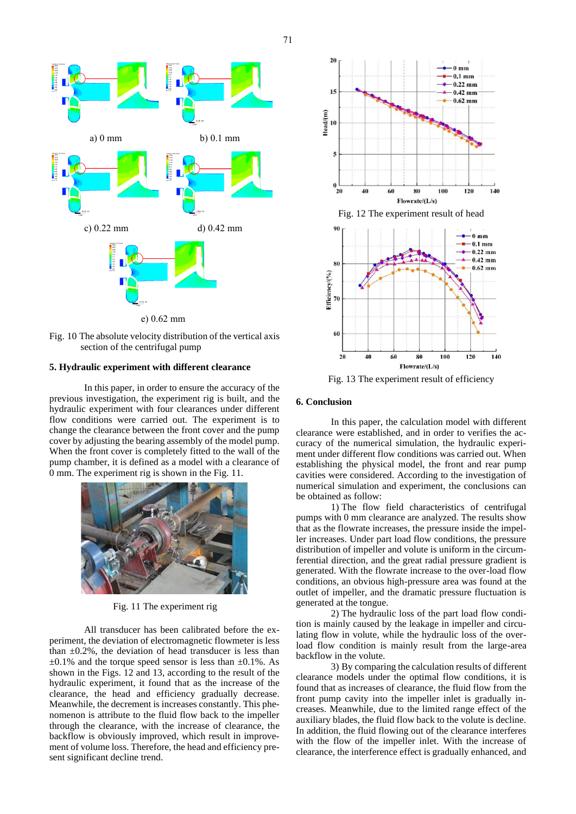71



Fig. 10 The absolute velocity distribution of the vertical axis section of the centrifugal pump

### **5. Hydraulic experiment with different clearance**

In this paper, in order to ensure the accuracy of the previous investigation, the experiment rig is built, and the hydraulic experiment with four clearances under different flow conditions were carried out. The experiment is to change the clearance between the front cover and the pump cover by adjusting the bearing assembly of the model pump. When the front cover is completely fitted to the wall of the pump chamber, it is defined as a model with a clearance of 0 mm. The experiment rig is shown in the Fig. 11.



Fig. 11 The experiment rig

All transducer has been calibrated before the experiment, the deviation of electromagnetic flowmeter is less than  $\pm 0.2\%$ , the deviation of head transducer is less than  $\pm 0.1\%$  and the torque speed sensor is less than  $\pm 0.1\%$ . As shown in the Figs. 12 and 13, according to the result of the hydraulic experiment, it found that as the increase of the clearance, the head and efficiency gradually decrease. Meanwhile, the decrement is increases constantly. This phenomenon is attribute to the fluid flow back to the impeller through the clearance, with the increase of clearance, the backflow is obviously improved, which result in improvement of volume loss. Therefore, the head and efficiency present significant decline trend.



Fig. 13 The experiment result of efficiency

#### **6. Conclusion**

In this paper, the calculation model with different clearance were established, and in order to verifies the accuracy of the numerical simulation, the hydraulic experiment under different flow conditions was carried out. When establishing the physical model, the front and rear pump cavities were considered. According to the investigation of numerical simulation and experiment, the conclusions can be obtained as follow:

1) The flow field characteristics of centrifugal pumps with 0 mm clearance are analyzed. The results show that as the flowrate increases, the pressure inside the impeller increases. Under part load flow conditions, the pressure distribution of impeller and volute is uniform in the circumferential direction, and the great radial pressure gradient is generated. With the flowrate increase to the over-load flow conditions, an obvious high-pressure area was found at the outlet of impeller, and the dramatic pressure fluctuation is generated at the tongue.

2) The hydraulic loss of the part load flow condition is mainly caused by the leakage in impeller and circulating flow in volute, while the hydraulic loss of the overload flow condition is mainly result from the large-area backflow in the volute.

3) By comparing the calculation results of different clearance models under the optimal flow conditions, it is found that as increases of clearance, the fluid flow from the front pump cavity into the impeller inlet is gradually increases. Meanwhile, due to the limited range effect of the auxiliary blades, the fluid flow back to the volute is decline. In addition, the fluid flowing out of the clearance interferes with the flow of the impeller inlet. With the increase of clearance, the interference effect is gradually enhanced, and